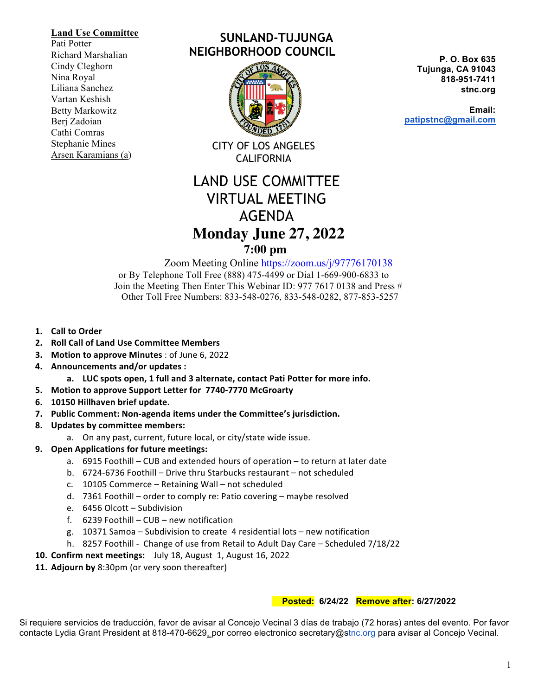#### **Land Use Committee**

Pati Potter Richard Marshalian Cindy Cleghorn Nina Royal Liliana Sanchez Vartan Keshish Betty Markowitz Berj Zadoian Cathi Comras Stephanie Mines Arsen Karamians (a)

# **SUNLAND-TUJUNGA NEIGHBORHOOD COUNCIL**



CITY OF LOS ANGELES CALIFORNIA

# LAND USE COMMITTEE VIRTUAL MEETING AGENDA  **Monday June 27, 2022**

# **7:00 pm**

Zoom Meeting Online https://zoom.us/j/97776170138

 or By Telephone Toll Free (888) 475-4499 or Dial 1-669-900-6833 to Join the Meeting Then Enter This Webinar ID: 977 7617 0138 and Press # Other Toll Free Numbers: 833-548-0276, 833-548-0282, 877-853-5257

- **1. Call to Order**
- **2. Roll Call of Land Use Committee Members**
- **3. Motion to approve Minutes**: of June 6, 2022
- **4. Announcements and/or updates :**
	- a. LUC spots open, 1 full and 3 alternate, contact Pati Potter for more info.
- **5. Motion to approve Support Letter for 7740-7770 McGroarty**
- **6. 10150 Hillhaven brief update.**
- 7. Public Comment: Non-agenda items under the Committee's jurisdiction.
- **8. Updates by committee members:**
	- a. On any past, current, future local, or city/state wide issue.
- **9. Open Applications for future meetings:**
	- a.  $6915$  Foothill CUB and extended hours of operation to return at later date
	- b. 6724-6736 Foothill Drive thru Starbucks restaurant not scheduled
	- c. 10105 Commerce Retaining Wall not scheduled
	- d. 7361 Foothill order to comply re: Patio covering maybe resolved
	- e. 6456 Olcott Subdivision
	- f.  $6239$  Foothill CUB new notification
	- g. 10371 Samoa Subdivision to create 4 residential lots new notification
	- h. 8257 Foothill Change of use from Retail to Adult Day Care Scheduled 7/18/22
- **10. Confirm next meetings:** July 18, August 1, August 16, 2022
- **11. Adjourn by** 8:30pm (or very soon thereafter)

## **Posted: 6/24/22 Remove after: 6/27/2022**

Si requiere servicios de traducción, favor de avisar al Concejo Vecinal 3 días de trabajo (72 horas) antes del evento. Por favor contacte Lydia Grant President at 818-470-6629, por correo electronico secretary@stnc.org para avisar al Concejo Vecinal.

**P. O. Box 635 Tujunga, CA 91043 818-951-7411 stnc.org**

**Email: patipstnc@gmail.com**